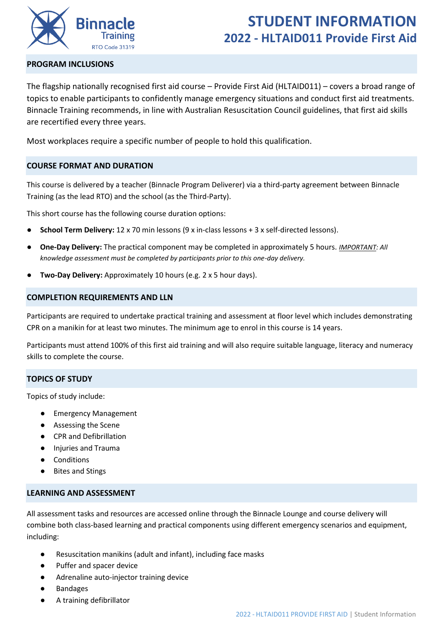

# **STUDENT INFORMATION 2022 - HLTAID011 Provide First Aid**

## **PROGRAM INCLUSIONS**

The flagship nationally recognised first aid course – Provide First Aid (HLTAID011) – covers a broad range of topics to enable participants to confidently manage emergency situations and conduct first aid treatments. Binnacle Training recommends, in line with Australian Resuscitation Council guidelines, that first aid skills are recertified every three years.

Most workplaces require a specific number of people to hold this qualification.

### **COURSE FORMAT AND DURATION**

This course is delivered by a teacher (Binnacle Program Deliverer) via a third-party agreement between Binnacle Training (as the lead RTO) and the school (as the Third-Party).

This short course has the following course duration options:

- **School Term Delivery:** 12 x 70 min lessons (9 x in-class lessons + 3 x self-directed lessons).
- **One-Day Delivery:** The practical component may be completed in approximately 5 hours. *IMPORTANT: All knowledge assessment must be completed by participants prior to this one-day delivery.*
- **Two-Day Delivery:** Approximately 10 hours (e.g. 2 x 5 hour days).

#### **COMPLETION REQUIREMENTS AND LLN**

Participants are required to undertake practical training and assessment at floor level which includes demonstrating CPR on a manikin for at least two minutes. The minimum age to enrol in this course is 14 years.

Participants must attend 100% of this first aid training and will also require suitable language, literacy and numeracy skills to complete the course.

#### **TOPICS OF STUDY**

Topics of study include:

- Emergency Management
- Assessing the Scene
- CPR and Defibrillation
- Injuries and Trauma
- **Conditions**
- **Bites and Stings**

#### **LEARNING AND ASSESSMENT**

All assessment tasks and resources are accessed online through the Binnacle Lounge and course delivery will combine both class-based learning and practical components using different emergency scenarios and equipment, including:

- Resuscitation manikins (adult and infant), including face masks
- Puffer and spacer device
- Adrenaline auto-injector training device
- Bandages
- A training defibrillator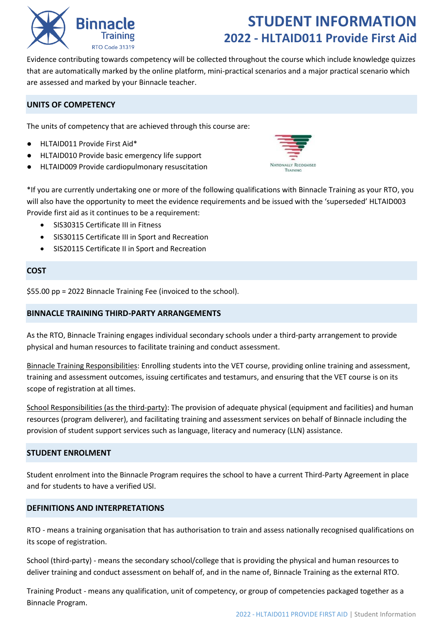# **STUDENT INFORMATION 2022 - HLTAID011 Provide First Aid**

Evidence contributing towards competency will be collected throughout the course which include knowledge quizzes that are automatically marked by the online platform, mini-practical scenarios and a major practical scenario which are assessed and marked by your Binnacle teacher.

# **UNITS OF COMPETENCY**

The units of competency that are achieved through this course are:

HLTAID011 Provide First Aid\*

**Binna** 

- HLTAID010 Provide basic emergency life support
- HLTAID009 Provide cardiopulmonary resuscitation



\*If you are currently undertaking one or more of the following qualifications with Binnacle Training as your RTO, you will also have the opportunity to meet the evidence requirements and be issued with the 'superseded' HLTAID003 Provide first aid as it continues to be a requirement:

- SIS30315 Certificate III in Fitness
- SIS30115 Certificate III in Sport and Recreation
- SIS20115 Certificate II in Sport and Recreation

### **COST**

\$55.00 pp = 2022 Binnacle Training Fee (invoiced to the school).

## **BINNACLE TRAINING THIRD-PARTY ARRANGEMENTS**

As the RTO, Binnacle Training engages individual secondary schools under a third-party arrangement to provide physical and human resources to facilitate training and conduct assessment.

Binnacle Training Responsibilities: Enrolling students into the VET course, providing online training and assessment, training and assessment outcomes, issuing certificates and testamurs, and ensuring that the VET course is on its scope of registration at all times.

School Responsibilities (as the third-party): The provision of adequate physical (equipment and facilities) and human resources (program deliverer), and facilitating training and assessment services on behalf of Binnacle including the provision of student support services such as language, literacy and numeracy (LLN) assistance.

## **STUDENT ENROLMENT**

Student enrolment into the Binnacle Program requires the school to have a current Third-Party Agreement in place and for students to have a verified USI.

## **DEFINITIONS AND INTERPRETATIONS**

RTO - means a training organisation that has authorisation to train and assess nationally recognised qualifications on its scope of registration.

School (third-party) - means the secondary school/college that is providing the physical and human resources to deliver training and conduct assessment on behalf of, and in the name of, Binnacle Training as the external RTO.

Training Product - means any qualification, unit of competency, or group of competencies packaged together as a Binnacle Program.